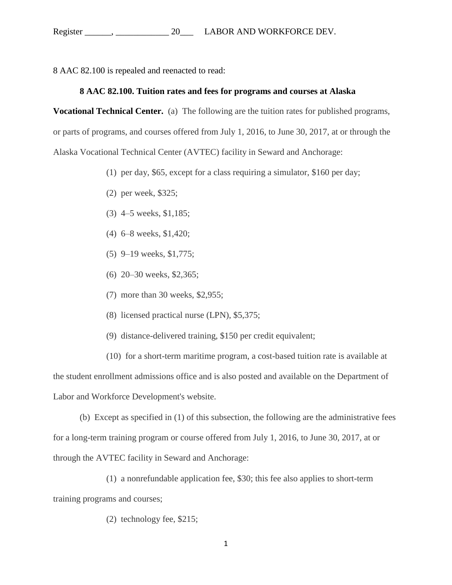8 AAC 82.100 is repealed and reenacted to read:

## **[8 AAC 82.100. Tuition rates and fees for programs and courses at Alaska](http://www.legis.state.ak.us/basis/aac.asp#8.82.100)**

**[Vocational Technical Center.](http://www.legis.state.ak.us/basis/aac.asp#8.82.100)** (a) The following are the tuition rates for published programs, or parts of programs, and courses offered from July 1, 2016, to June 30, 2017, at or through the Alaska Vocational Technical Center (AVTEC) facility in Seward and Anchorage:

- (1) per day, \$65, except for a class requiring a simulator, \$160 per day;
- (2) per week, \$325;
- (3) 4–5 weeks, \$1,185;
- (4) 6–8 weeks, \$1,420;
- (5) 9–19 weeks, \$1,775;
- (6) 20–30 weeks, \$2,365;
- (7) more than 30 weeks, \$2,955;
- (8) licensed practical nurse (LPN), \$5,375;
- (9) distance-delivered training, \$150 per credit equivalent;
- (10) for a short-term maritime program, a cost-based tuition rate is available at

the student enrollment admissions office and is also posted and available on the Department of Labor and Workforce Development's website.

(b) Except as specified in (1) of this subsection, the following are the administrative fees for a long-term training program or course offered from July 1, 2016, to June 30, 2017, at or through the AVTEC facility in Seward and Anchorage:

- (1) a nonrefundable application fee, \$30; this fee also applies to short-term training programs and courses;
	- (2) technology fee, \$215;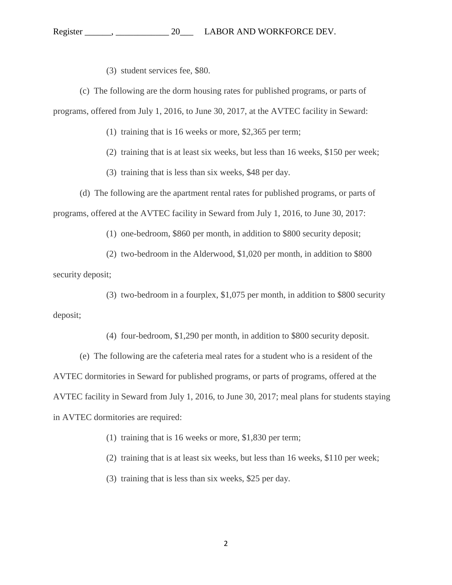(3) student services fee, \$80.

(c) The following are the dorm housing rates for published programs, or parts of programs, offered from July 1, 2016, to June 30, 2017, at the AVTEC facility in Seward:

(1) training that is 16 weeks or more, \$2,365 per term;

(2) training that is at least six weeks, but less than 16 weeks, \$150 per week;

(3) training that is less than six weeks, \$48 per day.

(d) The following are the apartment rental rates for published programs, or parts of programs, offered at the AVTEC facility in Seward from July 1, 2016, to June 30, 2017:

(1) one-bedroom, \$860 per month, in addition to \$800 security deposit;

(2) two-bedroom in the Alderwood, \$1,020 per month, in addition to \$800

security deposit;

(3) two-bedroom in a fourplex, \$1,075 per month, in addition to \$800 security deposit;

(4) four-bedroom, \$1,290 per month, in addition to \$800 security deposit.

(e) The following are the cafeteria meal rates for a student who is a resident of the AVTEC dormitories in Seward for published programs, or parts of programs, offered at the AVTEC facility in Seward from July 1, 2016, to June 30, 2017; meal plans for students staying in AVTEC dormitories are required:

(1) training that is 16 weeks or more, \$1,830 per term;

(2) training that is at least six weeks, but less than 16 weeks, \$110 per week;

(3) training that is less than six weeks, \$25 per day.

2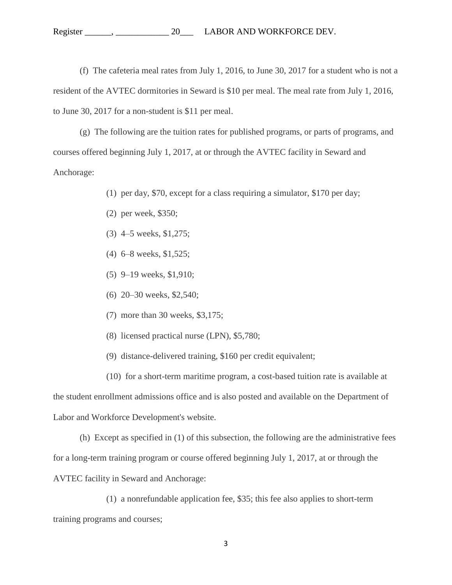## Register \_\_\_\_\_\_, \_\_\_\_\_\_\_\_\_\_\_\_\_\_\_\_\_ 20\_\_\_\_ LABOR AND WORKFORCE DEV.

(f) The cafeteria meal rates from July 1, 2016, to June 30, 2017 for a student who is not a resident of the AVTEC dormitories in Seward is \$10 per meal. The meal rate from July 1, 2016, to June 30, 2017 for a non-student is \$11 per meal.

(g) The following are the tuition rates for published programs, or parts of programs, and courses offered beginning July 1, 2017, at or through the AVTEC facility in Seward and Anchorage:

(1) per day, \$70, except for a class requiring a simulator, \$170 per day;

- (2) per week, \$350;
- (3) 4–5 weeks, \$1,275;
- (4) 6–8 weeks, \$1,525;
- (5) 9–19 weeks, \$1,910;
- (6) 20–30 weeks, \$2,540;
- (7) more than 30 weeks, \$3,175;
- (8) licensed practical nurse (LPN), \$5,780;
- (9) distance-delivered training, \$160 per credit equivalent;

(10) for a short-term maritime program, a cost-based tuition rate is available at the student enrollment admissions office and is also posted and available on the Department of Labor and Workforce Development's website.

(h) Except as specified in (1) of this subsection, the following are the administrative fees for a long-term training program or course offered beginning July 1, 2017, at or through the AVTEC facility in Seward and Anchorage:

(1) a nonrefundable application fee, \$35; this fee also applies to short-term training programs and courses;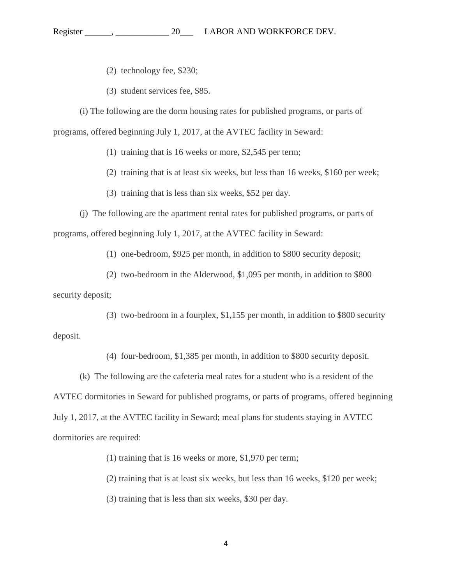## Register \_\_\_\_\_\_, \_\_\_\_\_\_\_\_\_\_\_\_ 20\_\_\_ LABOR AND WORKFORCE DEV.

(2) technology fee, \$230;

(3) student services fee, \$85.

(i) The following are the dorm housing rates for published programs, or parts of programs, offered beginning July 1, 2017, at the AVTEC facility in Seward:

(1) training that is 16 weeks or more, \$2,545 per term;

(2) training that is at least six weeks, but less than 16 weeks, \$160 per week;

(3) training that is less than six weeks, \$52 per day.

(j) The following are the apartment rental rates for published programs, or parts of programs, offered beginning July 1, 2017, at the AVTEC facility in Seward:

(1) one-bedroom, \$925 per month, in addition to \$800 security deposit;

(2) two-bedroom in the Alderwood, \$1,095 per month, in addition to \$800 security deposit;

(3) two-bedroom in a fourplex, \$1,155 per month, in addition to \$800 security deposit.

(4) four-bedroom, \$1,385 per month, in addition to \$800 security deposit.

(k) The following are the cafeteria meal rates for a student who is a resident of the AVTEC dormitories in Seward for published programs, or parts of programs, offered beginning July 1, 2017, at the AVTEC facility in Seward; meal plans for students staying in AVTEC dormitories are required:

(1) training that is 16 weeks or more, \$1,970 per term;

(2) training that is at least six weeks, but less than 16 weeks, \$120 per week;

(3) training that is less than six weeks, \$30 per day.